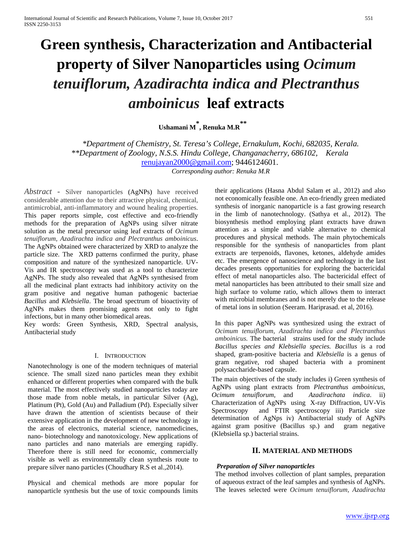# **Green synthesis, Characterization and Antibacterial property of Silver Nanoparticles using** *Ocimum tenuiflorum, Azadirachta indica and Plectranthus amboinicus* **leaf extracts**

**Ushamani M\* , Renuka M.R\*\***

*\*Department of Chemistry, St. Teresa's College, Ernakulum, Kochi, 682035, Kerala. \*\*Department of Zoology, N.S.S. Hindu College, Changanacherry, 686102, Kerala*  [renujayan2000@gmail.com;](mailto:renujayan2000@gmail.com) 9446124601. *Corresponding author: Renuka M.R*

*Abstract -* Silver nanoparticles (AgNPs) have received considerable attention due to their attractive physical, chemical, antimicrobial, anti-inflammatory and wound healing properties. This paper reports simple, cost effective and eco-friendly methods for the preparation of AgNPs using silver nitrate solution as the metal precursor using leaf extracts of *Ocimum tenuiflorum, Azadirachta indica and Plectranthus amboinicus*. The AgNPs obtained were characterized by XRD to analyze the particle size. The XRD patterns confirmed the purity, phase composition and nature of the synthesized nanoparticle. UV-Vis and IR spectroscopy was used as a tool to characterize AgNPs. The study also revealed that AgNPs synthesised from all the medicinal plant extracts had inhibitory activity on the gram positive and negative human pathogenic bacteriae *Bacillus* and *Klebsiella*. The broad spectrum of bioactivity of AgNPs makes them promising agents not only to fight infections, but in many other biomedical areas.

Key words: Green Synthesis, XRD, Spectral analysis, Antibacterial study

#### I. INTRODUCTION

Nanotechnology is one of the modern techniques of material science. The small sized nano particles mean they exhibit enhanced or different properties when compared with the bulk material. The most effectively studied nanoparticles today are those made from noble metals, in particular Silver (Ag), Platinum (Pt), Gold (Au) and Palladium (Pd). Especially silver have drawn the attention of scientists because of their extensive application in the development of new technology in the areas of electronics, material science, nanomedicines, nano- biotechnology and nanotoxicology. New applications of nano particles and nano materials are emerging rapidly. Therefore there is still need for economic, commercially visible as well as environmentally clean synthesis route to prepare silver nano particles (Choudhary R.S et al.,2014).

Physical and chemical methods are more popular for nanoparticle synthesis but the use of toxic compounds limits

their applications (Hasna Abdul Salam et al., 2012) and also not economically feasible one. An eco-friendly green mediated synthesis of inorganic nanoparticle is a fast growing research in the limb of nanotechnology. (Sathya et al.*,* 2012). The biosynthesis method employing plant extracts have drawn attention as a simple and viable alternative to chemical procedures and physical methods. The main phytochemicals responsible for the synthesis of nanoparticles from plant extracts are terpenoids, flavones, ketones, aldehyde amides etc. The emergence of nanoscience and technology in the last decades presents opportunities for exploring the bactericidal effect of metal nanoparticles also. The bactericidal effect of metal nanoparticles has been attributed to their small size and high surface to volume ratio, which allows them to interact with microbial membranes and is not merely due to the release of metal ions in solution (Seeram. Hariprasad. et al, 2016).

In this paper AgNPs was synthesized using the extract of *Ocimum tenuiflorum, Azadirachta indica and Plectranthus amboinicus.* The bacterial strains used for the study include *Bacillus species and Klebsiella species. Bacillus* is a rod shaped, gram-positive bacteria and *Klebsiella* is a genus of gram negative, rod shaped bacteria with a prominent polysaccharide-based capsule.

The main objectives of the study includes i) Green synthesis of AgNPs using plant extracts from *Plectranthus amboinicus, Ocimum tenuiflorum*, and *Azadirachata indica*. ii) Characterization of AgNPs using X-ray Diffraction, UV-Vis Spectroscopy and FTIR spectroscopy iii) Particle size determination of AgNps iv) Antibacterial study of AgNPs against gram positive (Bacillus sp.) and gram negative (Klebsiella sp.) bacterial strains.

## **II. MATERIAL AND METHODS**

## *Preparation of Silver nanoparticles*

The method involves collection of plant samples, preparation of aqueous extract of the leaf samples and synthesis of AgNPs. The leaves selected were *Ocimum tenuiflorum, Azadirachta*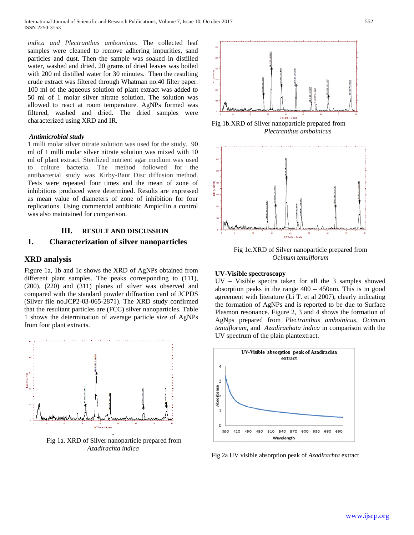*indica and Plectranthus amboinicus*. The collected leaf samples were cleaned to remove adhering impurities, sand particles and dust. Then the sample was soaked in distilled water, washed and dried. 20 grams of dried leaves was boiled with 200 ml distilled water for 30 minutes. Then the resulting crude extract was filtered through Whatman no.40 filter paper. 100 ml of the aqueous solution of plant extract was added to 50 ml of 1 molar silver nitrate solution. The solution was allowed to react at room temperature. AgNPs formed was filtered, washed and dried. The dried samples were characterized using XRD and IR.

#### *Antimicrobial study*

1 milli molar silver nitrate solution was used for the study. 90 ml of 1 milli molar silver nitrate solution was mixed with 10 ml of plant extract. Sterilized nutrient agar medium was used to culture bacteria. The method followed for the antibacterial study was Kirby-Baur Disc diffusion method. Tests were repeated four times and the mean of zone of inhibitions produced were determined. Results are expressed as mean value of diameters of zone of inhibition for four replications. Using commercial antibiotic Ampicilin a control was also maintained for comparison.

## **III. RESULT AND DISCUSSION**

## **1. Characterization of silver nanoparticles**

## **XRD analysis**

Figure 1a, 1b and 1c shows the XRD of AgNPs obtained from different plant samples. The peaks corresponding to (111), (200), (220) and (311) planes of silver was observed and compared with the standard powder diffraction card of JCPDS (Silver file no.JCP2-03-065-2871). The XRD study confirmed that the resultant particles are (FCC) silver nanoparticles. Table 1 shows the determination of average particle size of AgNPs from four plant extracts.



Fig 1a. XRD of Silver nanoparticle prepared from *Azadirachta indica*



Fig 1b.XRD of Silver nanoparticle prepared from *Plectranthus amboinicus*



Fig 1c.XRD of Silver nanoparticle prepared from *Ocimum tenuiflorum*

#### **UV-Visible spectroscopy**

UV – Visible spectra taken for all the 3 samples showed absorption peaks in the range  $400 - 450$ nm. This is in good agreement with literature (Li T. et al 2007), clearly indicating the formation of AgNPs and is reported to be due to Surface Plasmon resonance. Figure 2, 3 and 4 shows the formation of AgNps prepared from *Plectranthus amboinicus, Ocimum tenuiflorum*, and *Azadirachata indica* in comparison with the UV spectrum of the plain plantextract.



Fig 2a UV visible absorption peak of *Azadirachta* extract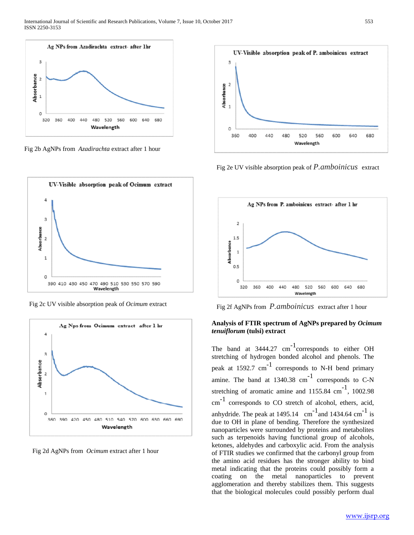

Fig 2b AgNPs from *Azadirachta* extract after 1 hour



Fig 2c UV visible absorption peak of *Ocimum* extract



Fig 2d AgNPs from *Ocimum* extract after 1 hour



Fig 2e UV visible absorption peak of *P.amboinicus* extract



Fig 2f AgNPs from *P.amboinicus* extract after 1 hour

## **Analysis of FTIR spectrum of AgNPs prepared by** *Ocimum tenuiflorum* **(tulsi) extract**

The band at  $3444.27$  cm<sup>-1</sup> corresponds to either OH stretching of hydrogen bonded alcohol and phenols. The peak at 1592.7 cm-1 corresponds to N-H bend primary amine. The band at  $1340.38$  cm<sup>-1</sup> corresponds to C-N stretching of aromatic amine and  $1155.84 \text{ cm}^{-1}$ , 1002.98 cm-1 corresponds to CO stretch of alcohol, ethers, acid, anhydride. The peak at  $1495.14$  cm<sup>-1</sup> and  $1434.64$  cm<sup>-1</sup> is due to OH in plane of bending. Therefore the synthesized nanoparticles were surrounded by proteins and metabolites such as terpenoids having functional group of alcohols, ketones, aldehydes and carboxylic acid. From the analysis of FTIR studies we confirmed that the carbonyl group from the amino acid residues has the stronger ability to bind metal indicating that the proteins could possibly form a coating on the metal nanoparticles to prevent agglomeration and thereby stabilizes them. This suggests that the biological molecules could possibly perform dual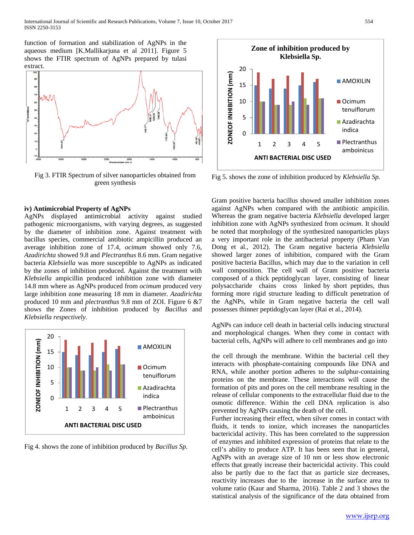function of formation and stabilization of AgNPs in the aqueous medium [K.Mallikarjuna et al 2011]. Figure 5 shows the FTIR spectrum of AgNPs prepared by tulasi extract.



Fig 3. FTIR Spectrum of silver nanoparticles obtained from green synthesis

## **iv) Antimicrobial Property of AgNPs**

AgNPs displayed antimicrobial activity against studied pathogenic microorganisms, with varying degrees, as suggested by the diameter of inhibition zone. Against treatment with bacillus species, commercial antibiotic ampicillin produced an average inhibition zone of 17.4, *ocimum* showed only 7.6, *Azadirichta* showed 9.8 and *Plectranthus* 8.6 mm. Gram negative bacteria *Klebsiella* was more susceptible to AgNPs as indicated by the zones of inhibition produced. Against the treatment with *Klebsiella* ampicillin produced inhibition zone with diameter 14.8 mm where as AgNPs produced from *ocimum* produced very large inhibition zone measuring 18 mm in diameter. *Azadirichta*  produced 10 mm and *plectranthus* 9.8 mm of ZOI. Figure 6 &7 shows the Zones of inhibition produced by *Bacillus* and *Klebsiella respectively.*



Fig 4. shows the zone of inhibition produced by *Bacillus Sp.*



Fig 5. shows the zone of inhibition produced by *Klebsiella Sp.*

Gram positive bacteria bacillus showed smaller inhibition zones against AgNPs when compared with the antibiotic ampicilin. Whereas the gram negative bacteria *Klebsiella* developed larger inhibition zone with AgNPs synthesized from *ocimum*. It should be noted that morphology of the synthesized nanoparticles plays a very important role in the antibacterial property (Pham Van Dong et al., 2012). The Gram negative bacteria *Klebsiella*  showed larger zones of inhibition, compared with the Gram positive bacteria Bacillus, which may due to the variation in cell wall composition. The cell wall of Gram positive bacteria composed of a thick peptidoglycan layer, consisting of linear polysaccharide chains cross linked by short peptides, thus forming more rigid structure leading to difficult penetration of the AgNPs, while in Gram negative bacteria the cell wall possesses thinner peptidoglycan layer (Rai et al., 2014).

AgNPs can induce cell death in bacterial cells inducing structural and morphological changes. When they come in contact with bacterial cells, AgNPs will adhere to cell membranes and go into

the cell through the membrane. Within the bacterial cell they interacts with phosphate-containing compounds like DNA and RNA, while another portion adheres to the sulphur-containing proteins on the membrane. These interactions will cause the formation of pits and pores on the cell membrane resulting in the release of cellular components to the extracellular fluid due to the osmotic difference. Within the cell DNA replication is also prevented by AgNPs causing the death of the cell.

Further increasing their effect, when silver comes in contact with fluids, it tends to ionize, which increases the nanoparticles bactericidal activity. This has been correlated to the suppression of enzymes and inhibited expression of proteins that relate to the cell's ability to produce ATP. It has been seen that in general, AgNPs with an average size of 10 nm or less show electronic effects that greatly increase their bactericidal activity. This could also be partly due to the fact that as particle size decreases, reactivity increases due to the increase in the surface area to volume ratio (Kaur and Sharma, 2016). Table 2 and 3 shows the statistical analysis of the significance of the data obtained from